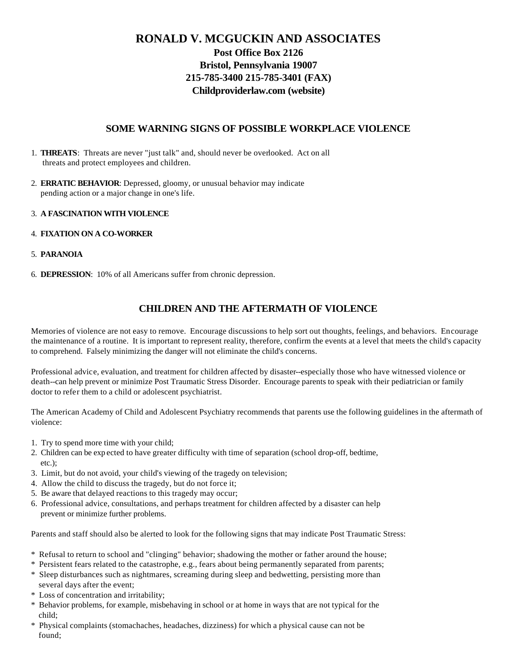# **RONALD V. MCGUCKIN AND ASSOCIATES Post Office Box 2126 Bristol, Pennsylvania 19007 215-785-3400 215-785-3401 (FAX) Childproviderlaw.com (website)**

## **SOME WARNING SIGNS OF POSSIBLE WORKPLACE VIOLENCE**

- 1. **THREATS**: Threats are never "just talk" and, should never be overlooked. Act on all threats and protect employees and children.
- 2. **ERRATIC BEHAVIOR**: Depressed, gloomy, or unusual behavior may indicate pending action or a major change in one's life.
- 3. **A FASCINATION WITH VIOLENCE**
- 4. **FIXATION ON A CO-WORKER**
- 5. **PARANOIA**
- 6. **DEPRESSION**: 10% of all Americans suffer from chronic depression.

## **CHILDREN AND THE AFTERMATH OF VIOLENCE**

Memories of violence are not easy to remove. Encourage discussions to help sort out thoughts, feelings, and behaviors. Encourage the maintenance of a routine. It is important to represent reality, therefore, confirm the events at a level that meets the child's capacity to comprehend. Falsely minimizing the danger will not eliminate the child's concerns.

Professional advice, evaluation, and treatment for children affected by disaster--especially those who have witnessed violence or death--can help prevent or minimize Post Traumatic Stress Disorder. Encourage parents to speak with their pediatrician or family doctor to refer them to a child or adolescent psychiatrist.

The American Academy of Child and Adolescent Psychiatry recommends that parents use the following guidelines in the aftermath of violence:

- 1. Try to spend more time with your child;
- 2. Children can be exp ected to have greater difficulty with time of separation (school drop-off, bedtime, etc.);
- 3. Limit, but do not avoid, your child's viewing of the tragedy on television;
- 4. Allow the child to discuss the tragedy, but do not force it;
- 5. Be aware that delayed reactions to this tragedy may occur;
- 6. Professional advice, consultations, and perhaps treatment for children affected by a disaster can help prevent or minimize further problems.

Parents and staff should also be alerted to look for the following signs that may indicate Post Traumatic Stress:

- \* Refusal to return to school and "clinging" behavior; shadowing the mother or father around the house;
- \* Persistent fears related to the catastrophe, e.g., fears about being permanently separated from parents;
- \* Sleep disturbances such as nightmares, screaming during sleep and bedwetting, persisting more than several days after the event;
- \* Loss of concentration and irritability;
- \* Behavior problems, for example, misbehaving in school or at home in ways that are not typical for the child;
- \* Physical complaints (stomachaches, headaches, dizziness) for which a physical cause can not be found;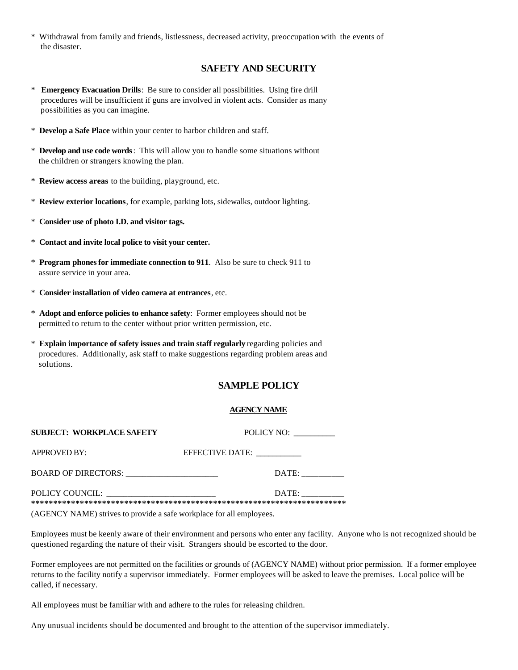\* Withdrawal from family and friends, listlessness, decreased activity, preoccupation with the events of the disaster.

### **SAFETY AND SECURITY**

- \* **Emergency Evacuation Drills**: Be sure to consider all possibilities. Using fire drill procedures will be insufficient if guns are involved in violent acts. Consider as many possibilities as you can imagine.
- \* **Develop a Safe Place** within your center to harbor children and staff.
- \* **Develop and use code words**: This will allow you to handle some situations without the children or strangers knowing the plan.
- \* **Review access areas** to the building, playground, etc.
- \* **Review exterior locations**, for example, parking lots, sidewalks, outdoor lighting.
- \* **Consider use of photo I.D. and visitor tags.**
- \* **Contact and invite local police to visit your center.**
- \* **Program phones for immediate connection to 911**. Also be sure to check 911 to assure service in your area.
- \* **Consider installation of video camera at entrances**, etc.
- \* **Adopt and enforce policies to enhance safety**: Former employees should not be permitted to return to the center without prior written permission, etc.
- \* **Explain importance of safety issues and train staff regularly** regarding policies and procedures. Additionally, ask staff to make suggestions regarding problem areas and solutions.

## **SAMPLE POLICY**

#### **AGENCY NAME**

| SUBJECT: WORKPLACE SAFETY | POLICY NO:      |
|---------------------------|-----------------|
| <b>APPROVED BY:</b>       | EFFECTIVE DATE: |
| BOARD OF DIRECTORS:       | DATE:           |
| POLICY COUNCIL:           | DATE:           |

(AGENCY NAME) strives to provide a safe workplace for all employees.

Employees must be keenly aware of their environment and persons who enter any facility. Anyone who is not recognized should be questioned regarding the nature of their visit. Strangers should be escorted to the door.

Former employees are not permitted on the facilities or grounds of (AGENCY NAME) without prior permission. If a former employee returns to the facility notify a supervisor immediately. Former employees will be asked to leave the premises. Local police will be called, if necessary.

All employees must be familiar with and adhere to the rules for releasing children.

Any unusual incidents should be documented and brought to the attention of the supervisor immediately.